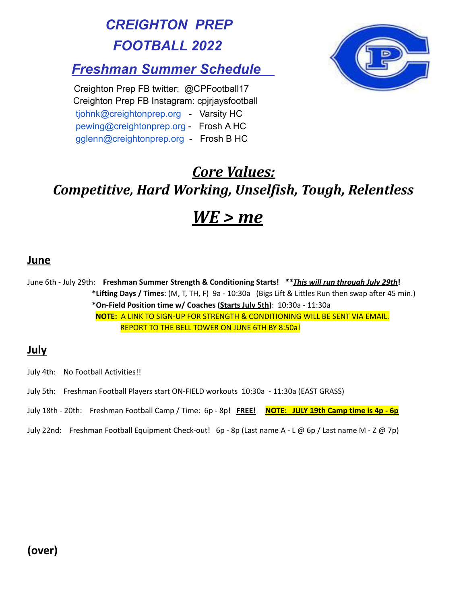*CREIGHTON PREP FOOTBALL 2022*

# *Freshman Summer Schedule*

Creighton Prep FB twitter: @CPFootball17 Creighton Prep FB Instagram: cpjrjaysfootball [tjohnk@creightonprep.org](mailto:tjohnk@creightonprep.org) - Varsity HC [pewing@creightonprep.org](mailto:pewing@creightonprep.org) - Frosh A HC [gglenn@creightonprep.org](mailto:gglenn@creightonprep.org) - Frosh B HC



# *Core Values: Competitive, Hard Working, Unselfish, Tough, Relentless WE > me*

### **June**

June 6th - July 29th: **Freshman Summer Strength & Conditioning Starts!** *\*\*This will run through July 29th***! \*Lifting Days / Times**: (M, T, TH, F) 9a - 10:30a (Bigs Lift & Littles Run then swap after 45 min.) **\*On-Field Position time w/ Coaches (Starts July 5th)**: 10:30a - 11:30a **NOTE:** A LINK TO SIGN-UP FOR STRENGTH & CONDITIONING WILL BE SENT VIA EMAIL. REPORT TO THE BELL TOWER ON JUNE 6TH BY 8:50a!

## **July**

- July 4th: No Football Activities!!
- July 5th: Freshman Football Players start ON-FIELD workouts 10:30a 11:30a (EAST GRASS)
- July 18th 20th: Freshman Football Camp / Time: 6p 8p! **FREE! NOTE: JULY 19th Camp time is 4p - 6p**
- July 22nd: Freshman Football Equipment Check-out! 6p 8p (Last name A L @ 6p / Last name M Z @ 7p)